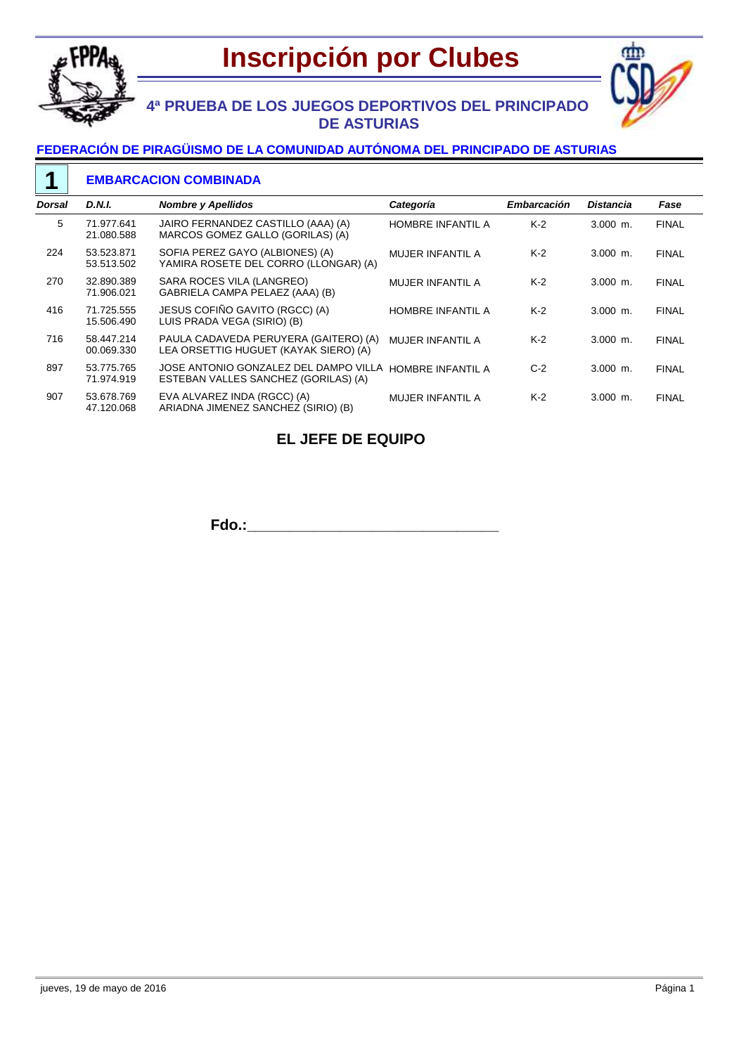



## **4ª PRUEBA DE LOS JUEGOS DEPORTIVOS DEL PRINCIPADO DE ASTURIAS**

#### **FEDERACIÓN DE PIRAGÜISMO DE LA COMUNIDAD AUTÓNOMA DEL PRINCIPADO DE ASTURIAS**

#### **EMBARCACION COMBINADA 1**

| <b>Dorsal</b> | <b>D.N.I.</b>            | <b>Nombre y Apellidos</b>                                                      | Categoría                | <b>Embarcación</b> | Distancia  | Fase         |
|---------------|--------------------------|--------------------------------------------------------------------------------|--------------------------|--------------------|------------|--------------|
| 5             | 71.977.641<br>21.080.588 | JAIRO FERNANDEZ CASTILLO (AAA) (A)<br>MARCOS GOMEZ GALLO (GORILAS) (A)         | HOMBRE INFANTIL A        | $K-2$              | $3.000$ m. | <b>FINAL</b> |
| 224           | 53.523.871<br>53.513.502 | SOFIA PEREZ GAYO (ALBIONES) (A)<br>YAMIRA ROSETE DEL CORRO (LLONGAR) (A)       | <b>MUJER INFANTIL A</b>  | $K-2$              | $3.000$ m. | <b>FINAL</b> |
| 270           | 32.890.389<br>71.906.021 | SARA ROCES VILA (LANGREO)<br>GABRIELA CAMPA PELAEZ (AAA) (B)                   | <b>MUJER INFANTIL A</b>  | $K-2$              | $3.000$ m. | <b>FINAL</b> |
| 416           | 71.725.555<br>15.506.490 | JESUS COFIÑO GAVITO (RGCC) (A)<br>LUIS PRADA VEGA (SIRIO) (B)                  | <b>HOMBRE INFANTIL A</b> | $K-2$              | $3.000$ m. | <b>FINAL</b> |
| 716           | 58.447.214<br>00.069.330 | PAULA CADAVEDA PERUYERA (GAITERO) (A)<br>LEA ORSETTIG HUGUET (KAYAK SIERO) (A) | MUJER INFANTIL A         | $K-2$              | $3.000$ m. | <b>FINAL</b> |
| 897           | 53.775.765<br>71.974.919 | JOSE ANTONIO GONZALEZ DEL DAMPO VILLA<br>ESTEBAN VALLES SANCHEZ (GORILAS) (A)  | <b>HOMBRE INFANTIL A</b> | $C-2$              | $3.000$ m. | <b>FINAL</b> |
| 907           | 53.678.769<br>47.120.068 | EVA ALVAREZ INDA (RGCC) (A)<br>ARIADNA JIMENEZ SANCHEZ (SIRIO) (B)             | <b>MUJER INFANTIL A</b>  | $K-2$              | $3.000$ m. | <b>FINAL</b> |

## **EL JEFE DE EQUIPO**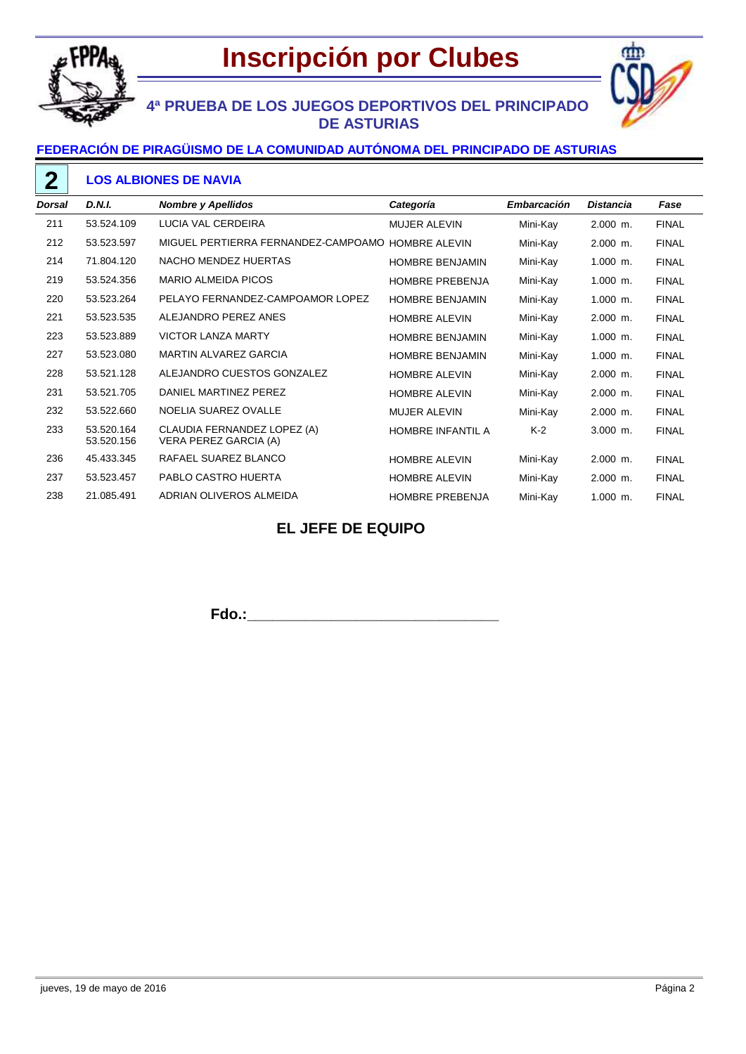

# **Inscripción por Clubes**



# **4ª PRUEBA DE LOS JUEGOS DEPORTIVOS DEL PRINCIPADO DE ASTURIAS**

### **FEDERACIÓN DE PIRAGÜISMO DE LA COMUNIDAD AUTÓNOMA DEL PRINCIPADO DE ASTURIAS**

### **LOS ALBIONES DE NAVIA**

| <b>Dorsal</b> | D.N.I.                   | <b>Nombre y Apellidos</b>                            | Categoría              | Embarcación | <b>Distancia</b> | Fase         |
|---------------|--------------------------|------------------------------------------------------|------------------------|-------------|------------------|--------------|
| 211           | 53.524.109               | LUCIA VAL CERDEIRA                                   | <b>MUJER ALEVIN</b>    | Mini-Kay    | $2.000$ m.       | <b>FINAL</b> |
| 212           | 53.523.597               | MIGUEL PERTIERRA FERNANDEZ-CAMPOAMO                  | <b>HOMBRE ALEVIN</b>   | Mini-Kay    | $2.000$ m.       | <b>FINAL</b> |
| 214           | 71.804.120               | NACHO MENDEZ HUERTAS                                 | <b>HOMBRE BENJAMIN</b> | Mini-Kay    | $1.000$ m.       | <b>FINAL</b> |
| 219           | 53.524.356               | <b>MARIO ALMEIDA PICOS</b>                           | <b>HOMBRE PREBENJA</b> | Mini-Kay    | $1.000$ m.       | <b>FINAL</b> |
| 220           | 53.523.264               | PELAYO FERNANDEZ-CAMPOAMOR LOPEZ                     | <b>HOMBRE BENJAMIN</b> | Mini-Kay    | $1.000$ m.       | <b>FINAL</b> |
| 221           | 53.523.535               | ALEJANDRO PEREZ ANES                                 | <b>HOMBRE ALEVIN</b>   | Mini-Kay    | $2.000$ m.       | <b>FINAL</b> |
| 223           | 53.523.889               | <b>VICTOR LANZA MARTY</b>                            | <b>HOMBRE BENJAMIN</b> | Mini-Kay    | $1.000$ m.       | <b>FINAL</b> |
| 227           | 53.523.080               | MARTIN ALVAREZ GARCIA                                | <b>HOMBRE BENJAMIN</b> | Mini-Kay    | $1.000$ m.       | <b>FINAL</b> |
| 228           | 53.521.128               | ALEJANDRO CUESTOS GONZALEZ                           | <b>HOMBRE ALEVIN</b>   | Mini-Kay    | $2.000$ m.       | <b>FINAL</b> |
| 231           | 53.521.705               | DANIEL MARTINEZ PEREZ                                | <b>HOMBRE ALEVIN</b>   | Mini-Kay    | 2.000 m.         | <b>FINAL</b> |
| 232           | 53.522.660               | NOELIA SUAREZ OVALLE                                 | <b>MUJER ALEVIN</b>    | Mini-Kay    | $2.000$ m.       | <b>FINAL</b> |
| 233           | 53.520.164<br>53.520.156 | CLAUDIA FERNANDEZ LOPEZ (A)<br>VERA PEREZ GARCIA (A) | HOMBRE INFANTIL A      | $K-2$       | $3.000$ m.       | <b>FINAL</b> |
| 236           | 45.433.345               | RAFAEL SUAREZ BLANCO                                 | <b>HOMBRE ALEVIN</b>   | Mini-Kay    | 2.000 m.         | <b>FINAL</b> |
| 237           | 53.523.457               | PABLO CASTRO HUERTA                                  | <b>HOMBRE ALEVIN</b>   | Mini-Kay    | $2.000$ m.       | <b>FINAL</b> |
| 238           | 21.085.491               | ADRIAN OLIVEROS ALMEIDA                              | <b>HOMBRE PREBENJA</b> | Mini-Kay    | $1.000$ m.       | <b>FINAL</b> |

## **EL JEFE DE EQUIPO**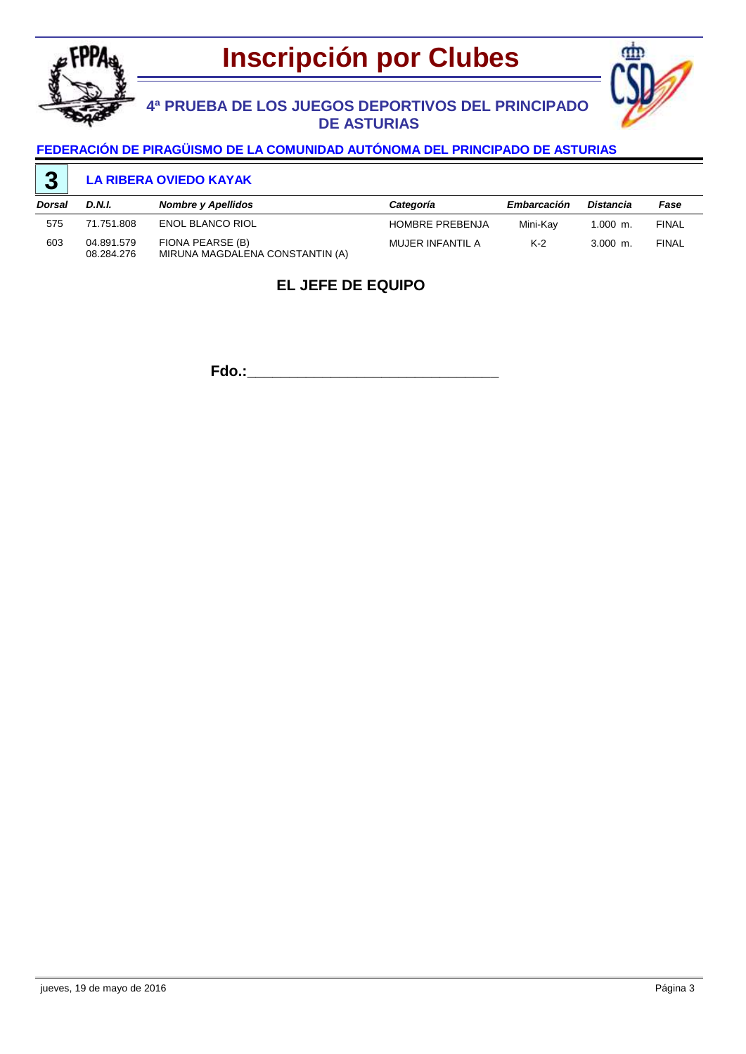





#### **FEDERACIÓN DE PIRAGÜISMO DE LA COMUNIDAD AUTÓNOMA DEL PRINCIPADO DE ASTURIAS**

#### **LA RIBERA OVIEDO KAYAK 3**

| Dorsal | D.N.I.                   | Nombre y Apellidos                                  | Categoría              | <b>Embarcación</b> | Distancia  | Fase         |
|--------|--------------------------|-----------------------------------------------------|------------------------|--------------------|------------|--------------|
| 575    | 71.751.808               | <b>ENOL BLANCO RIOL</b>                             | <b>HOMBRE PREBENJA</b> | Mini-Kay           | $1.000$ m. | <b>FINAL</b> |
| 603    | 04.891.579<br>08.284.276 | FIONA PEARSE (B)<br>MIRUNA MAGDALENA CONSTANTIN (A) | MUJER INFANTIL A       | $K-2$              | $3.000$ m. | <b>FINAL</b> |

### **EL JEFE DE EQUIPO**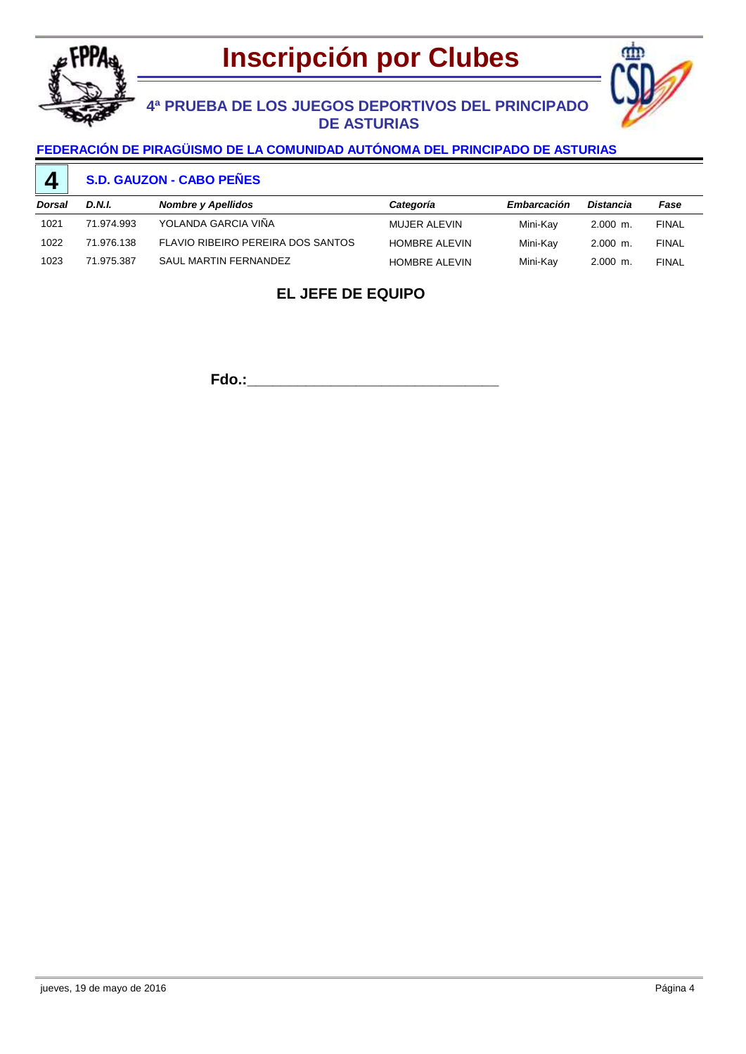



# **4ª PRUEBA DE LOS JUEGOS DEPORTIVOS DEL PRINCIPADO DE ASTURIAS**

### **FEDERACIÓN DE PIRAGÜISMO DE LA COMUNIDAD AUTÓNOMA DEL PRINCIPADO DE ASTURIAS**

#### **S.D. GAUZON - CABO PEÑES 4**

| Dorsal | D.N.I.     | Nombre y Apellidos                | Categoría            | Embarcación | Distancia  | Fase         |
|--------|------------|-----------------------------------|----------------------|-------------|------------|--------------|
| 1021   | 71.974.993 | YOLANDA GARCIA VIÑA               | MUJER ALEVIN         | Mini-Kav    | $2.000$ m. | <b>FINAL</b> |
| 1022   | 71.976.138 | FLAVIO RIBEIRO PEREIRA DOS SANTOS | <b>HOMBRE ALEVIN</b> | Mini-Kav    | $2.000$ m. | <b>FINAL</b> |
| 1023   | 71.975.387 | SAUL MARTIN FERNANDEZ             | <b>HOMBRE ALEVIN</b> | Mini-Kav    | $2.000$ m. | <b>FINAL</b> |

## **EL JEFE DE EQUIPO**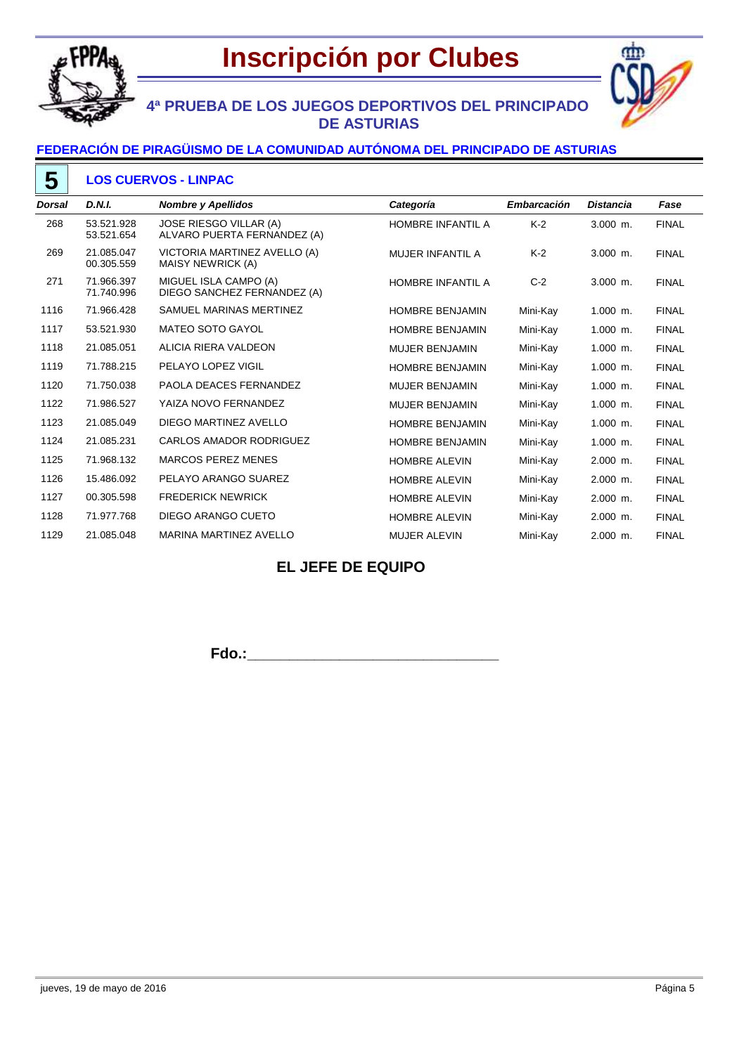



# **4ª PRUEBA DE LOS JUEGOS DEPORTIVOS DEL PRINCIPADO DE ASTURIAS**

### **FEDERACIÓN DE PIRAGÜISMO DE LA COMUNIDAD AUTÓNOMA DEL PRINCIPADO DE ASTURIAS**

#### **LOS CUERVOS - LINPAC 5**

| <b>Dorsal</b> | <b>D.N.I.</b>            | <b>Nombre y Apellidos</b>                             | Categoría                | <b>Embarcación</b> | <b>Distancia</b> | Fase         |
|---------------|--------------------------|-------------------------------------------------------|--------------------------|--------------------|------------------|--------------|
| 268           | 53.521.928<br>53.521.654 | JOSE RIESGO VILLAR (A)<br>ALVARO PUERTA FERNANDEZ (A) | <b>HOMBRE INFANTIL A</b> | $K-2$              | 3.000 m.         | <b>FINAL</b> |
| 269           | 21.085.047<br>00.305.559 | VICTORIA MARTINEZ AVELLO (A)<br>MAISY NEWRICK (A)     | MUJER INFANTIL A         | $K-2$              | $3.000$ m.       | <b>FINAL</b> |
| 271           | 71.966.397<br>71.740.996 | MIGUEL ISLA CAMPO (A)<br>DIEGO SANCHEZ FERNANDEZ (A)  | <b>HOMBRE INFANTIL A</b> | $C-2$              | $3.000$ m.       | <b>FINAL</b> |
| 1116          | 71.966.428               | SAMUEL MARINAS MERTINEZ                               | <b>HOMBRE BENJAMIN</b>   | Mini-Kay           | $1.000$ m.       | <b>FINAL</b> |
| 1117          | 53.521.930               | <b>MATEO SOTO GAYOL</b>                               | <b>HOMBRE BENJAMIN</b>   | Mini-Kay           | $1.000$ m.       | <b>FINAL</b> |
| 1118          | 21.085.051               | ALICIA RIERA VALDEON                                  | <b>MUJER BENJAMIN</b>    | Mini-Kay           | 1.000 m.         | <b>FINAL</b> |
| 1119          | 71.788.215               | PELAYO LOPEZ VIGIL                                    | <b>HOMBRE BENJAMIN</b>   | Mini-Kay           | $1.000$ m.       | <b>FINAL</b> |
| 1120          | 71.750.038               | <b>PAOLA DEACES FERNANDEZ</b>                         | <b>MUJER BENJAMIN</b>    | Mini-Kay           | $1.000$ m.       | <b>FINAL</b> |
| 1122          | 71.986.527               | YAIZA NOVO FERNANDEZ                                  | <b>MUJER BENJAMIN</b>    | Mini-Kay           | $1.000$ m.       | <b>FINAL</b> |
| 1123          | 21.085.049               | DIEGO MARTINEZ AVELLO                                 | <b>HOMBRE BENJAMIN</b>   | Mini-Kay           | $1.000$ m.       | <b>FINAL</b> |
| 1124          | 21.085.231               | <b>CARLOS AMADOR RODRIGUEZ</b>                        | <b>HOMBRE BENJAMIN</b>   | Mini-Kay           | $1.000$ m.       | <b>FINAL</b> |
| 1125          | 71.968.132               | <b>MARCOS PEREZ MENES</b>                             | <b>HOMBRE ALEVIN</b>     | Mini-Kay           | $2.000$ m.       | <b>FINAL</b> |
| 1126          | 15.486.092               | PELAYO ARANGO SUAREZ                                  | <b>HOMBRE ALEVIN</b>     | Mini-Kay           | $2.000$ m.       | <b>FINAL</b> |
| 1127          | 00.305.598               | <b>FREDERICK NEWRICK</b>                              | <b>HOMBRE ALEVIN</b>     | Mini-Kay           | 2.000 m.         | <b>FINAL</b> |
| 1128          | 71.977.768               | DIEGO ARANGO CUETO                                    | <b>HOMBRE ALEVIN</b>     | Mini-Kay           | $2.000$ m.       | <b>FINAL</b> |
| 1129          | 21.085.048               | MARINA MARTINEZ AVELLO                                | <b>MUJER ALEVIN</b>      | Mini-Kay           | $2.000$ m.       | <b>FINAL</b> |

### **EL JEFE DE EQUIPO**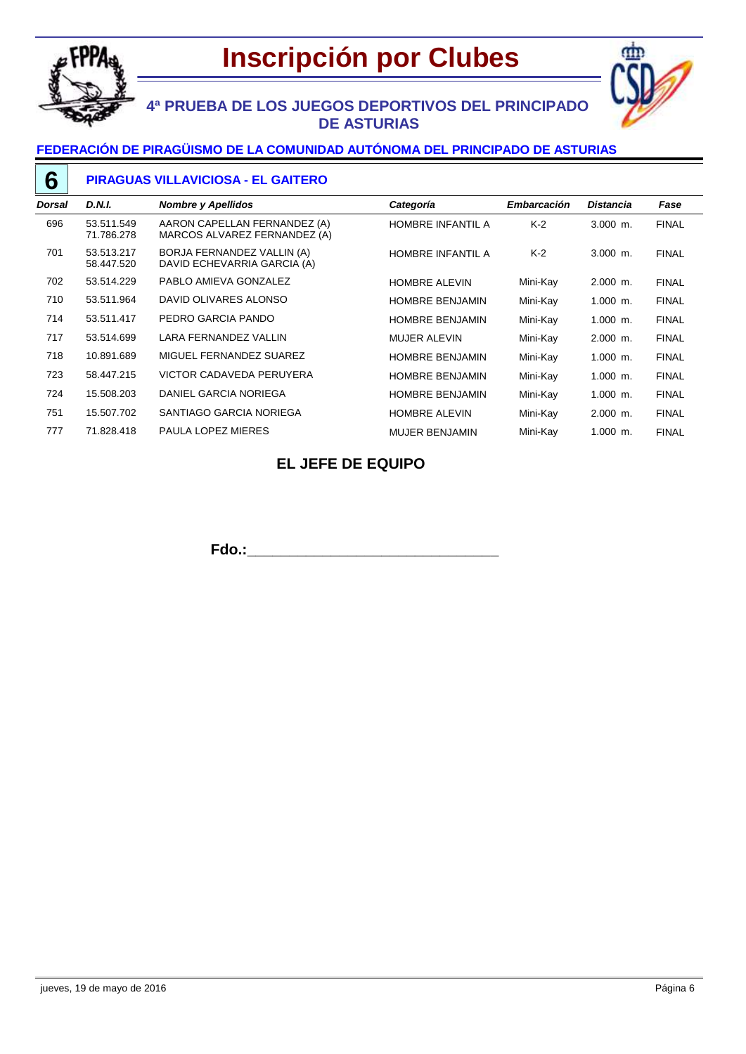

# **Inscripción por Clubes**



# **4ª PRUEBA DE LOS JUEGOS DEPORTIVOS DEL PRINCIPADO DE ASTURIAS**

### **FEDERACIÓN DE PIRAGÜISMO DE LA COMUNIDAD AUTÓNOMA DEL PRINCIPADO DE ASTURIAS**

### **PIRAGUAS VILLAVICIOSA - EL GAITERO**

| Dorsal | D.N.I.                   | <b>Nombre y Apellidos</b>                                    | Categoría                | <b>Embarcación</b> | <b>Distancia</b> | Fase         |
|--------|--------------------------|--------------------------------------------------------------|--------------------------|--------------------|------------------|--------------|
| 696    | 53.511.549<br>71.786.278 | AARON CAPELLAN FERNANDEZ (A)<br>MARCOS ALVAREZ FERNANDEZ (A) | <b>HOMBRE INFANTIL A</b> | $K-2$              | $3.000$ m.       | <b>FINAL</b> |
| 701    | 53.513.217<br>58.447.520 | BORJA FERNANDEZ VALLIN (A)<br>DAVID ECHEVARRIA GARCIA (A)    | <b>HOMBRE INFANTIL A</b> | $K-2$              | $3.000$ m.       | <b>FINAL</b> |
| 702    | 53.514.229               | PABLO AMIEVA GONZALEZ                                        | <b>HOMBRE ALEVIN</b>     | Mini-Kay           | $2.000$ m.       | <b>FINAL</b> |
| 710    | 53.511.964               | DAVID OLIVARES ALONSO                                        | <b>HOMBRE BENJAMIN</b>   | Mini-Kay           | $1.000$ m.       | <b>FINAL</b> |
| 714    | 53.511.417               | PEDRO GARCIA PANDO                                           | <b>HOMBRE BENJAMIN</b>   | Mini-Kay           | $1.000$ m.       | <b>FINAL</b> |
| 717    | 53.514.699               | LARA FERNANDEZ VALLIN                                        | <b>MUJER ALEVIN</b>      | Mini-Kav           | $2.000$ m.       | <b>FINAL</b> |
| 718    | 10.891.689               | MIGUEL FERNANDEZ SUAREZ                                      | <b>HOMBRE BENJAMIN</b>   | Mini-Kay           | $1.000$ m.       | <b>FINAL</b> |
| 723    | 58.447.215               | VICTOR CADAVEDA PERUYERA                                     | <b>HOMBRE BENJAMIN</b>   | Mini-Kay           | $1.000$ m.       | <b>FINAL</b> |
| 724    | 15.508.203               | DANIEL GARCIA NORIEGA                                        | <b>HOMBRE BENJAMIN</b>   | Mini-Kay           | $1.000$ m.       | <b>FINAL</b> |
| 751    | 15.507.702               | SANTIAGO GARCIA NORIEGA                                      | <b>HOMBRE ALEVIN</b>     | Mini-Kay           | $2.000$ m.       | <b>FINAL</b> |
| 777    | 71.828.418               | PAULA LOPEZ MIERES                                           | <b>MUJER BENJAMIN</b>    | Mini-Kay           | $1.000$ m.       | <b>FINAL</b> |

## **EL JEFE DE EQUIPO**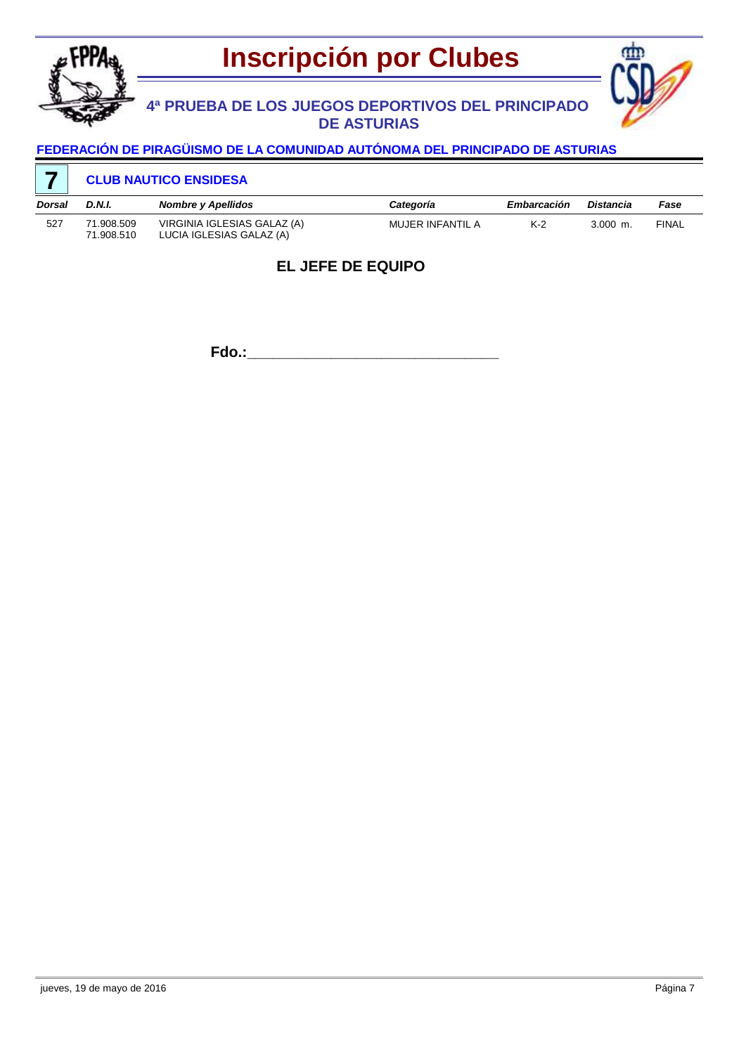

# **Inscripción por Clubes**

# **4ª PRUEBA DE LOS JUEGOS DEPORTIVOS DEL PRINCIPADO DE ASTURIAS**



### **FEDERACIÓN DE PIRAGÜISMO DE LA COMUNIDAD AUTÓNOMA DEL PRINCIPADO DE ASTURIAS**

### **CLUB NAUTICO ENSIDESA**

| Dorsal | D.N.I.                   | <b>Nombre y Apellidos</b>                               | Categoría        | <b>Embarcación</b> | Distancia  | Fase         |
|--------|--------------------------|---------------------------------------------------------|------------------|--------------------|------------|--------------|
| 527    | 71.908.509<br>71.908.510 | VIRGINIA IGLESIAS GALAZ (A)<br>LUCIA IGLESIAS GALAZ (A) | MUJER INFANTIL A | $K-2$              | $3.000$ m. | <b>FINAL</b> |

### **EL JEFE DE EQUIPO**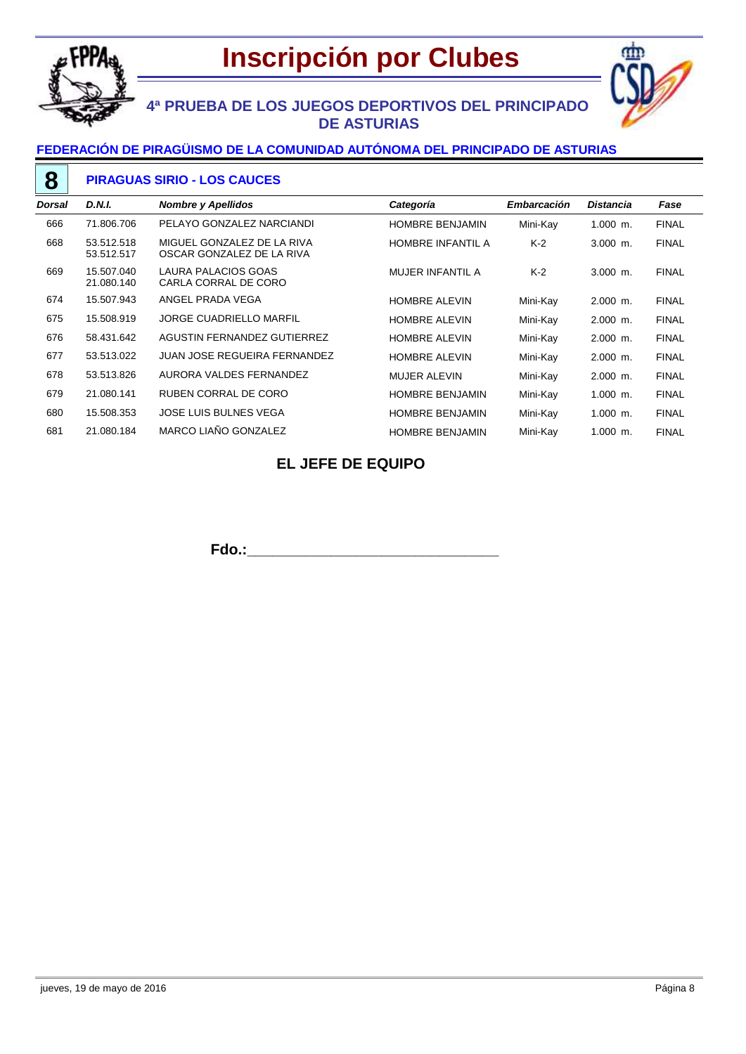



# **4ª PRUEBA DE LOS JUEGOS DEPORTIVOS DEL PRINCIPADO DE ASTURIAS**

### **FEDERACIÓN DE PIRAGÜISMO DE LA COMUNIDAD AUTÓNOMA DEL PRINCIPADO DE ASTURIAS**

#### **PIRAGUAS SIRIO - LOS CAUCES 8**

| <b>Dorsal</b> | D.N.I.                   | <b>Nombre y Apellidos</b>                               | Categoría                | <b>Embarcación</b> | Distancia  | Fase         |
|---------------|--------------------------|---------------------------------------------------------|--------------------------|--------------------|------------|--------------|
| 666           | 71.806.706               | PELAYO GONZALEZ NARCIANDI                               | <b>HOMBRE BENJAMIN</b>   | Mini-Kay           | $1.000$ m. | <b>FINAL</b> |
| 668           | 53.512.518<br>53.512.517 | MIGUEL GONZALEZ DE LA RIVA<br>OSCAR GONZALEZ DE LA RIVA | <b>HOMBRE INFANTIL A</b> | K-2                | $3.000$ m. | <b>FINAL</b> |
| 669           | 15.507.040<br>21.080.140 | LAURA PALACIOS GOAS<br>CARLA CORRAL DE CORO             | MUJER INFANTIL A         | $K-2$              | $3.000$ m. | <b>FINAL</b> |
| 674           | 15.507.943               | ANGEL PRADA VEGA                                        | <b>HOMBRE ALEVIN</b>     | Mini-Kay           | $2.000$ m. | <b>FINAL</b> |
| 675           | 15.508.919               | <b>JORGE CUADRIELLO MARFIL</b>                          | <b>HOMBRE ALEVIN</b>     | Mini-Kay           | $2.000$ m. | <b>FINAL</b> |
| 676           | 58.431.642               | AGUSTIN FERNANDEZ GUTIERREZ                             | <b>HOMBRE ALEVIN</b>     | Mini-Kay           | $2.000$ m. | <b>FINAL</b> |
| 677           | 53.513.022               | <b>JUAN JOSE REGUEIRA FERNANDEZ</b>                     | <b>HOMBRE ALEVIN</b>     | Mini-Kay           | $2.000$ m. | <b>FINAL</b> |
| 678           | 53.513.826               | AURORA VALDES FERNANDEZ                                 | <b>MUJER ALEVIN</b>      | Mini-Kay           | $2.000$ m. | <b>FINAL</b> |
| 679           | 21.080.141               | RUBEN CORRAL DE CORO                                    | <b>HOMBRE BENJAMIN</b>   | Mini-Kay           | $1.000$ m. | <b>FINAL</b> |
| 680           | 15.508.353               | JOSE LUIS BULNES VEGA                                   | <b>HOMBRE BENJAMIN</b>   | Mini-Kay           | $1.000$ m. | <b>FINAL</b> |
| 681           | 21.080.184               | MARCO LIAÑO GONZALEZ                                    | <b>HOMBRE BENJAMIN</b>   | Mini-Kay           | $1.000$ m. | <b>FINAL</b> |

## **EL JEFE DE EQUIPO**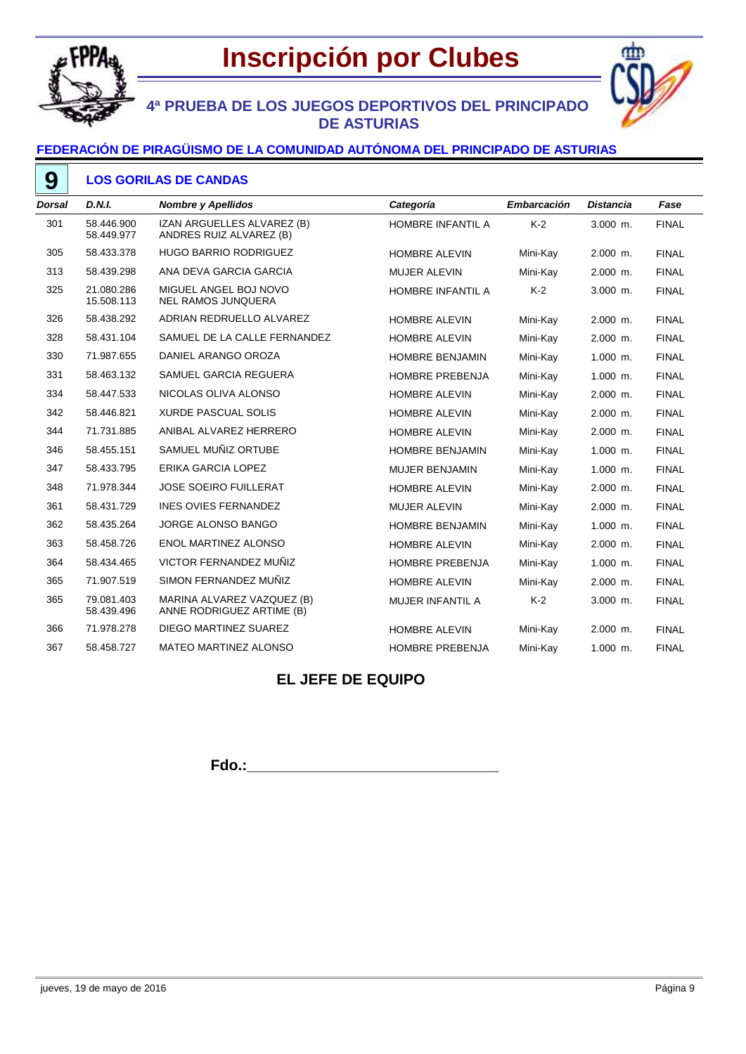



# **4ª PRUEBA DE LOS JUEGOS DEPORTIVOS DEL PRINCIPADO DE ASTURIAS**

### **FEDERACIÓN DE PIRAGÜISMO DE LA COMUNIDAD AUTÓNOMA DEL PRINCIPADO DE ASTURIAS**

#### **LOS GORILAS DE CANDAS 9**

| <b>Dorsal</b> | D.N.I.                   | <b>Nombre y Apellidos</b>                               | Categoría                | Embarcación | <b>Distancia</b> | Fase         |
|---------------|--------------------------|---------------------------------------------------------|--------------------------|-------------|------------------|--------------|
| 301           | 58.446.900<br>58.449.977 | IZAN ARGUELLES ALVAREZ (B)<br>ANDRES RUIZ ALVAREZ (B)   | HOMBRE INFANTIL A        | $K-2$       | $3.000$ m.       | <b>FINAL</b> |
| 305           | 58.433.378               | <b>HUGO BARRIO RODRIGUEZ</b>                            | <b>HOMBRE ALEVIN</b>     | Mini-Kay    | $2.000$ m.       | <b>FINAL</b> |
| 313           | 58.439.298               | ANA DEVA GARCIA GARCIA                                  | <b>MUJER ALEVIN</b>      | Mini-Kay    | 2.000 m.         | <b>FINAL</b> |
| 325           | 21.080.286<br>15.508.113 | MIGUEL ANGEL BOJ NOVO<br><b>NEL RAMOS JUNQUERA</b>      | <b>HOMBRE INFANTIL A</b> | $K-2$       | $3.000$ m.       | <b>FINAL</b> |
| 326           | 58.438.292               | ADRIAN REDRUELLO ALVAREZ                                | <b>HOMBRE ALEVIN</b>     | Mini-Kay    | 2.000 m.         | <b>FINAL</b> |
| 328           | 58.431.104               | SAMUEL DE LA CALLE FERNANDEZ                            | <b>HOMBRE ALEVIN</b>     | Mini-Kay    | $2.000$ m.       | <b>FINAL</b> |
| 330           | 71.987.655               | DANIEL ARANGO OROZA                                     | <b>HOMBRE BENJAMIN</b>   | Mini-Kay    | 1.000 m.         | <b>FINAL</b> |
| 331           | 58.463.132               | SAMUEL GARCIA REGUERA                                   | <b>HOMBRE PREBENJA</b>   | Mini-Kay    | 1.000 m.         | <b>FINAL</b> |
| 334           | 58.447.533               | NICOLAS OLIVA ALONSO                                    | <b>HOMBRE ALEVIN</b>     | Mini-Kay    | $2.000$ m.       | <b>FINAL</b> |
| 342           | 58.446.821               | <b>XURDE PASCUAL SOLIS</b>                              | <b>HOMBRE ALEVIN</b>     | Mini-Kay    | 2.000 m.         | <b>FINAL</b> |
| 344           | 71.731.885               | ANIBAL ALVAREZ HERRERO                                  | <b>HOMBRE ALEVIN</b>     | Mini-Kay    | 2.000 m.         | <b>FINAL</b> |
| 346           | 58.455.151               | SAMUEL MUÑIZ ORTUBE                                     | <b>HOMBRE BENJAMIN</b>   | Mini-Kay    | $1.000$ m.       | <b>FINAL</b> |
| 347           | 58.433.795               | <b>ERIKA GARCIA LOPEZ</b>                               | MUJER BENJAMIN           | Mini-Kay    | 1.000 m.         | <b>FINAL</b> |
| 348           | 71.978.344               | <b>JOSE SOEIRO FUILLERAT</b>                            | <b>HOMBRE ALEVIN</b>     | Mini-Kay    | $2.000$ m.       | <b>FINAL</b> |
| 361           | 58.431.729               | <b>INES OVIES FERNANDEZ</b>                             | <b>MUJER ALEVIN</b>      | Mini-Kay    | 2.000 m.         | <b>FINAL</b> |
| 362           | 58.435.264               | <b>JORGE ALONSO BANGO</b>                               | <b>HOMBRE BENJAMIN</b>   | Mini-Kay    | $1.000$ m.       | <b>FINAL</b> |
| 363           | 58.458.726               | <b>ENOL MARTINEZ ALONSO</b>                             | <b>HOMBRE ALEVIN</b>     | Mini-Kay    | 2.000 m.         | <b>FINAL</b> |
| 364           | 58.434.465               | VICTOR FERNANDEZ MUÑIZ                                  | <b>HOMBRE PREBENJA</b>   | Mini-Kav    | $1.000$ m.       | <b>FINAL</b> |
| 365           | 71.907.519               | SIMON FERNANDEZ MUÑIZ                                   | <b>HOMBRE ALEVIN</b>     | Mini-Kay    | $2.000$ m.       | <b>FINAL</b> |
| 365           | 79.081.403<br>58.439.496 | MARINA ALVAREZ VAZQUEZ (B)<br>ANNE RODRIGUEZ ARTIME (B) | MUJER INFANTIL A         | $K-2$       | 3.000 m.         | <b>FINAL</b> |
| 366           | 71.978.278               | DIEGO MARTINEZ SUAREZ                                   | <b>HOMBRE ALEVIN</b>     | Mini-Kay    | 2.000 m.         | <b>FINAL</b> |
| 367           | 58.458.727               | <b>MATEO MARTINEZ ALONSO</b>                            | <b>HOMBRE PREBENJA</b>   | Mini-Kay    | 1.000 m.         | <b>FINAL</b> |
|               |                          |                                                         |                          |             |                  |              |

## **EL JEFE DE EQUIPO**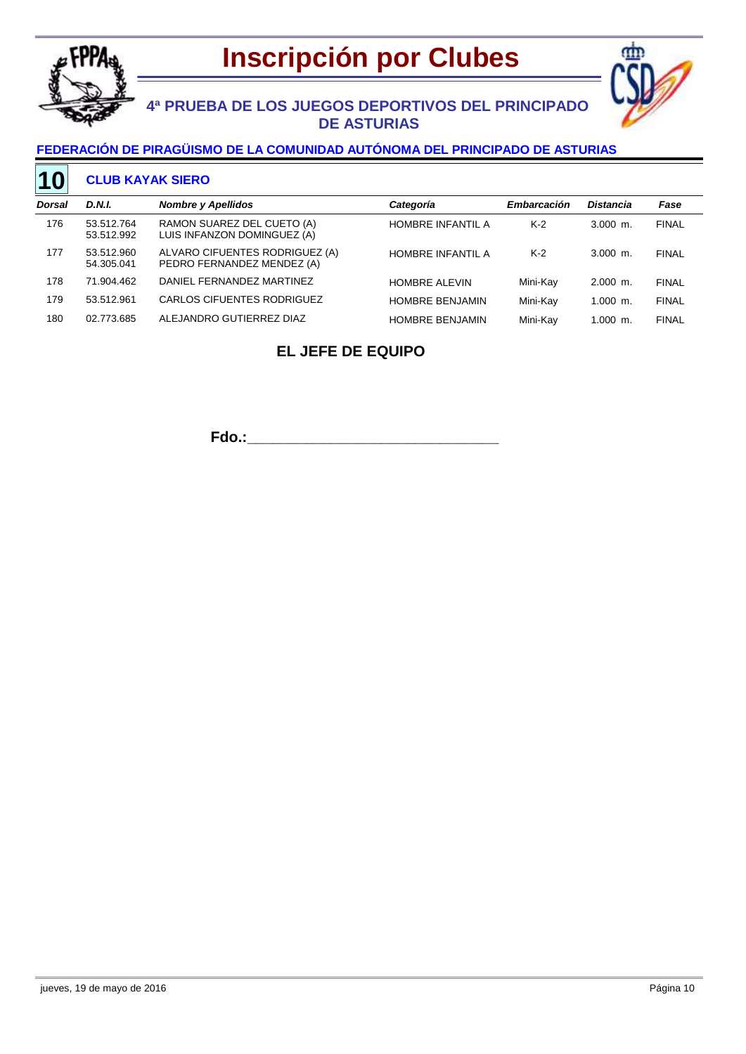



# **4ª PRUEBA DE LOS JUEGOS DEPORTIVOS DEL PRINCIPADO DE ASTURIAS**

### **FEDERACIÓN DE PIRAGÜISMO DE LA COMUNIDAD AUTÓNOMA DEL PRINCIPADO DE ASTURIAS**

#### **CLUB KAYAK SIERO 10**

| Dorsal | D.N.I.                   | <b>Nombre y Apellidos</b>                                    | Categoría                | <b>Embarcación</b> | <b>Distancia</b> | Fase         |
|--------|--------------------------|--------------------------------------------------------------|--------------------------|--------------------|------------------|--------------|
| 176    | 53.512.764<br>53.512.992 | RAMON SUAREZ DEL CUETO (A)<br>LUIS INFANZON DOMINGUEZ (A)    | <b>HOMBRE INFANTIL A</b> | $K-2$              | $3.000$ m.       | <b>FINAL</b> |
| 177    | 53.512.960<br>54.305.041 | ALVARO CIFUENTES RODRIGUEZ (A)<br>PEDRO FERNANDEZ MENDEZ (A) | <b>HOMBRE INFANTIL A</b> | $K-2$              | $3.000$ m.       | <b>FINAL</b> |
| 178    | 71.904.462               | DANIEL FERNANDEZ MARTINEZ                                    | <b>HOMBRE ALEVIN</b>     | Mini-Kav           | $2.000$ m.       | <b>FINAL</b> |
| 179    | 53.512.961               | CARLOS CIFUENTES RODRIGUEZ                                   | <b>HOMBRE BENJAMIN</b>   | Mini-Kav           | $1.000$ m.       | <b>FINAL</b> |
| 180    | 02.773.685               | ALEJANDRO GUTIERREZ DIAZ                                     | <b>HOMBRE BENJAMIN</b>   | Mini-Kav           | $1.000$ m.       | <b>FINAL</b> |

# **EL JEFE DE EQUIPO**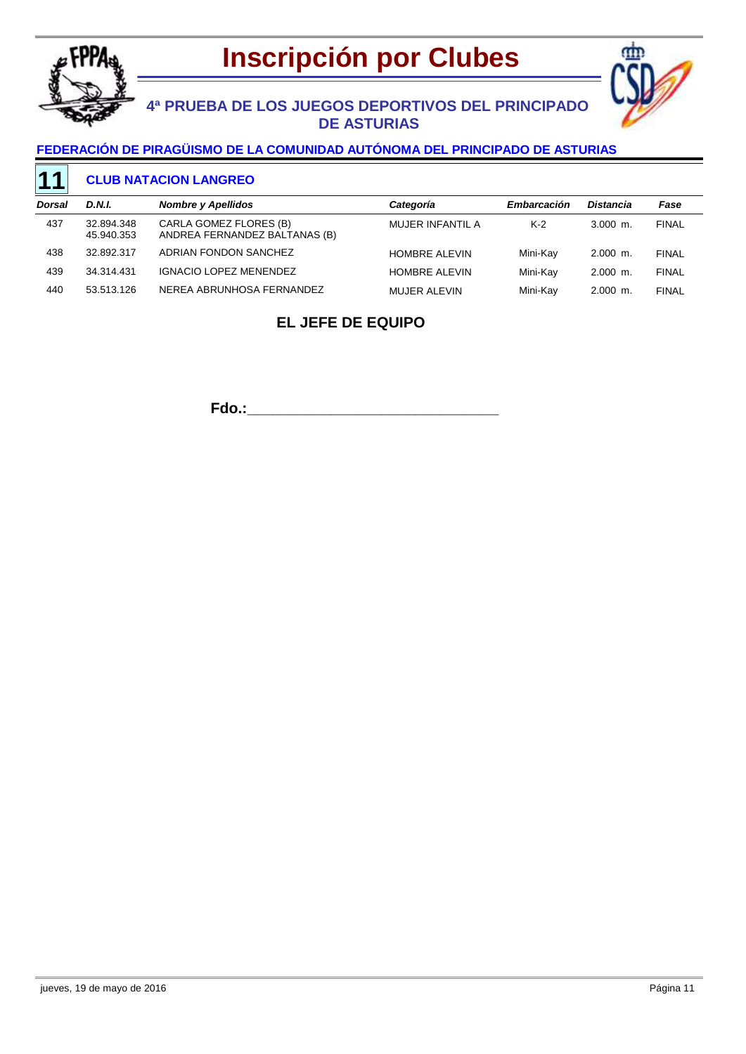



# **4ª PRUEBA DE LOS JUEGOS DEPORTIVOS DEL PRINCIPADO DE ASTURIAS**

### **FEDERACIÓN DE PIRAGÜISMO DE LA COMUNIDAD AUTÓNOMA DEL PRINCIPADO DE ASTURIAS**

#### **CLUB NATACION LANGREO 11**

| Dorsal | D.N.I.                   | <b>Nombre y Apellidos</b>                               | Categoría            | Embarcación | <b>Distancia</b> | Fase         |
|--------|--------------------------|---------------------------------------------------------|----------------------|-------------|------------------|--------------|
| 437    | 32.894.348<br>45.940.353 | CARLA GOMEZ FLORES (B)<br>ANDREA FERNANDEZ BALTANAS (B) | MUJER INFANTIL A     | $K-2$       | $3.000$ m.       | <b>FINAL</b> |
| 438    | 32.892.317               | ADRIAN FONDON SANCHEZ                                   | <b>HOMBRE ALEVIN</b> | Mini-Kav    | $2.000$ m.       | <b>FINAL</b> |
| 439    | 34.314.431               | <b>IGNACIO LOPEZ MENENDEZ</b>                           | <b>HOMBRE ALEVIN</b> | Mini-Kav    | $2.000$ m.       | <b>FINAL</b> |
| 440    | 53.513.126               | NEREA ABRUNHOSA FERNANDEZ                               | MUJER ALEVIN         | Mini-Kay    | $2.000$ m.       | <b>FINAL</b> |

## **EL JEFE DE EQUIPO**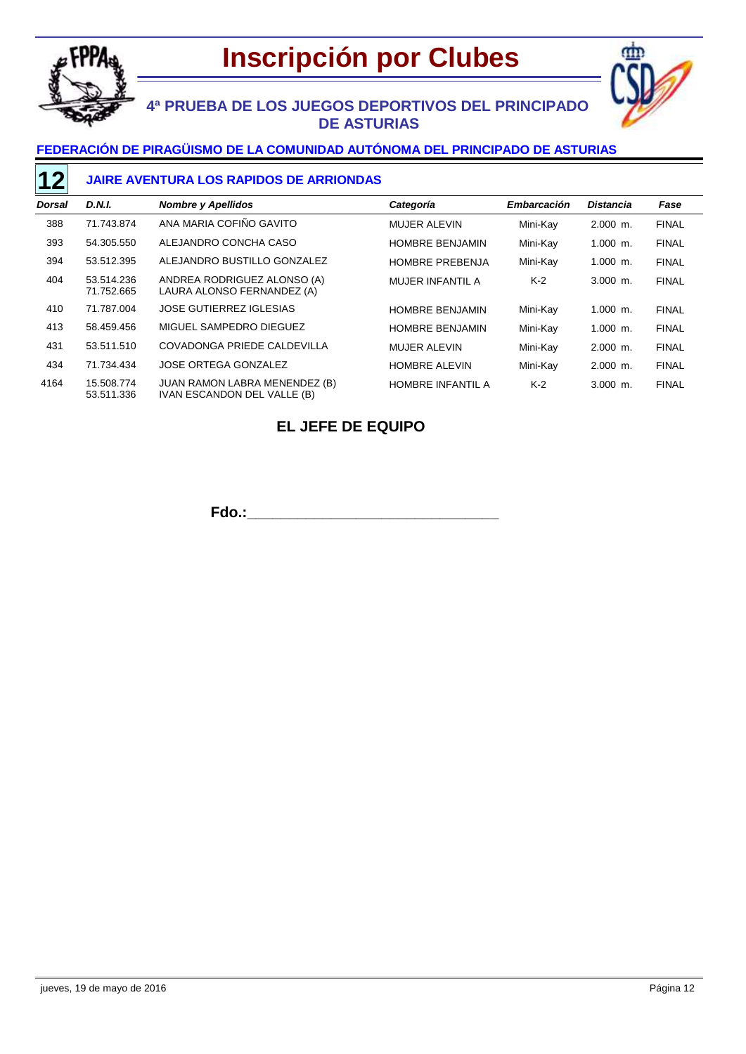

# **Inscripción por Clubes**



# **4ª PRUEBA DE LOS JUEGOS DEPORTIVOS DEL PRINCIPADO DE ASTURIAS**

### **FEDERACIÓN DE PIRAGÜISMO DE LA COMUNIDAD AUTÓNOMA DEL PRINCIPADO DE ASTURIAS**

### **JAIRE AVENTURA LOS RAPIDOS DE ARRIONDAS**

| Dorsal | <b>D.N.I.</b>            | <b>Nombre y Apellidos</b>                                    | Categoría                | Embarcación | <b>Distancia</b> | Fase         |
|--------|--------------------------|--------------------------------------------------------------|--------------------------|-------------|------------------|--------------|
| 388    | 71.743.874               | ANA MARIA COFIÑO GAVITO                                      | <b>MUJER ALEVIN</b>      | Mini-Kay    | $2.000$ m.       | <b>FINAL</b> |
| 393    | 54.305.550               | ALEJANDRO CONCHA CASO                                        | <b>HOMBRE BENJAMIN</b>   | Mini-Kay    | $1.000$ m.       | <b>FINAL</b> |
| 394    | 53.512.395               | ALEJANDRO BUSTILLO GONZALEZ                                  | <b>HOMBRE PREBENJA</b>   | Mini-Kay    | $1.000$ m.       | <b>FINAL</b> |
| 404    | 53.514.236<br>71.752.665 | ANDREA RODRIGUEZ ALONSO (A)<br>LAURA ALONSO FERNANDEZ (A)    | MUJER INFANTIL A         | $K-2$       | $3.000$ m.       | <b>FINAL</b> |
| 410    | 71.787.004               | <b>JOSE GUTIERREZ IGLESIAS</b>                               | <b>HOMBRE BENJAMIN</b>   | Mini-Kay    | $1.000$ m.       | <b>FINAL</b> |
| 413    | 58.459.456               | MIGUEL SAMPEDRO DIEGUEZ                                      | <b>HOMBRE BENJAMIN</b>   | Mini-Kay    | $1.000$ m.       | <b>FINAL</b> |
| 431    | 53.511.510               | COVADONGA PRIEDE CALDEVILLA                                  | <b>MUJER ALEVIN</b>      | Mini-Kav    | $2.000$ m.       | <b>FINAL</b> |
| 434    | 71.734.434               | JOSE ORTEGA GONZALEZ                                         | <b>HOMBRE ALEVIN</b>     | Mini-Kay    | $2.000$ m.       | <b>FINAL</b> |
| 4164   | 15.508.774<br>53.511.336 | JUAN RAMON LABRA MENENDEZ (B)<br>IVAN ESCANDON DEL VALLE (B) | <b>HOMBRE INFANTIL A</b> | $K-2$       | $3.000$ m.       | <b>FINAL</b> |

### **EL JEFE DE EQUIPO**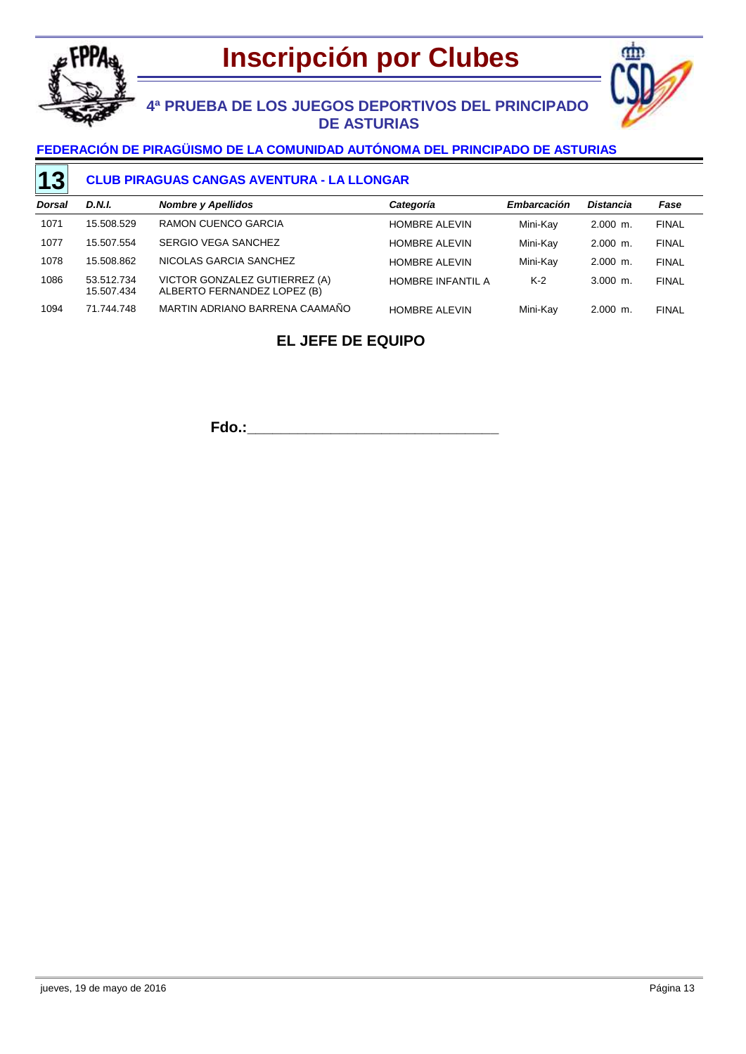



## **4ª PRUEBA DE LOS JUEGOS DEPORTIVOS DEL PRINCIPADO DE ASTURIAS**

### **FEDERACIÓN DE PIRAGÜISMO DE LA COMUNIDAD AUTÓNOMA DEL PRINCIPADO DE ASTURIAS**

#### **CLUB PIRAGUAS CANGAS AVENTURA - LA LLONGAR 13**

| Dorsal | D.N.I.                   | <b>Nombre y Apellidos</b>                                    | Categoría                | <b>Embarcación</b> | <b>Distancia</b> | Fase         |
|--------|--------------------------|--------------------------------------------------------------|--------------------------|--------------------|------------------|--------------|
| 1071   | 15.508.529               | RAMON CUENCO GARCIA                                          | <b>HOMBRE ALEVIN</b>     | Mini-Kay           | $2.000$ m.       | <b>FINAL</b> |
| 1077   | 15.507.554               | SERGIO VEGA SANCHEZ                                          | <b>HOMBRE ALEVIN</b>     | Mini-Kay           | $2.000$ m.       | <b>FINAL</b> |
| 1078   | 15.508.862               | NICOLAS GARCIA SANCHEZ                                       | <b>HOMBRE ALEVIN</b>     | Mini-Kay           | $2.000$ m.       | <b>FINAL</b> |
| 1086   | 53.512.734<br>15.507.434 | VICTOR GONZALEZ GUTIERREZ (A)<br>ALBERTO FERNANDEZ LOPEZ (B) | <b>HOMBRE INFANTIL A</b> | $K-2$              | $3.000$ m.       | <b>FINAL</b> |
| 1094   | 71.744.748               | MARTIN ADRIANO BARRENA CAAMAÑO                               | <b>HOMBRE ALEVIN</b>     | Mini-Kay           | $2.000$ m.       | <b>FINAL</b> |

### **EL JEFE DE EQUIPO**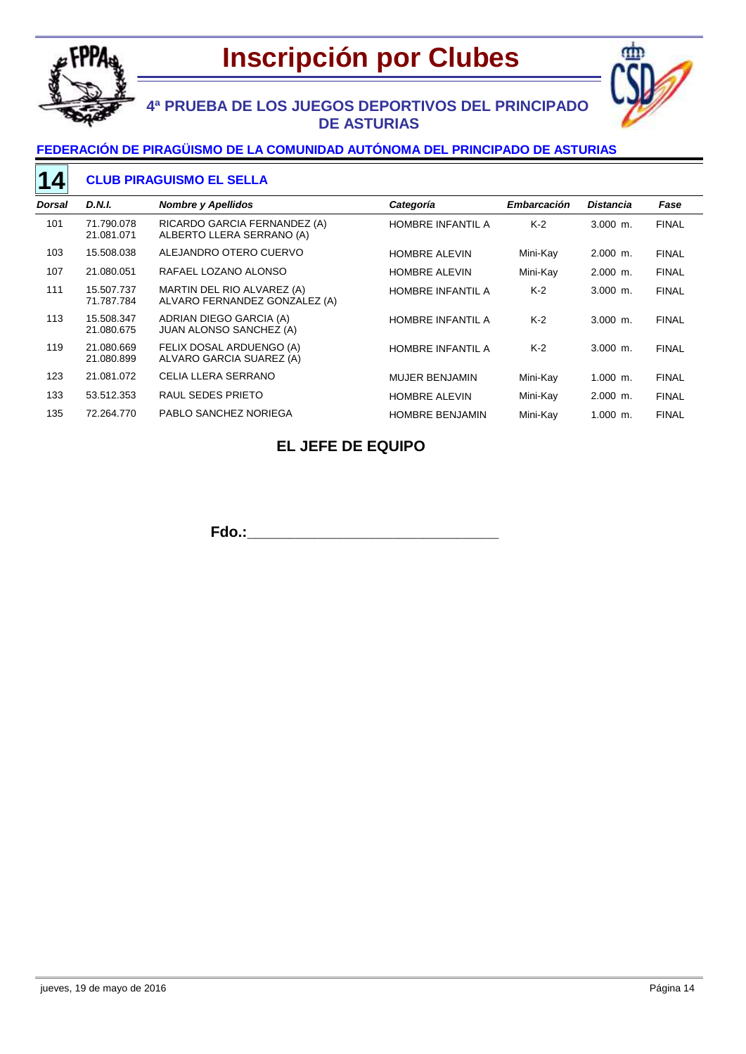



# **4ª PRUEBA DE LOS JUEGOS DEPORTIVOS DEL PRINCIPADO DE ASTURIAS**

### **FEDERACIÓN DE PIRAGÜISMO DE LA COMUNIDAD AUTÓNOMA DEL PRINCIPADO DE ASTURIAS**

#### **CLUB PIRAGUISMO EL SELLA 14**

| Dorsal | D.N.I.                   | <b>Nombre y Apellidos</b>                                   | Categoría                | Embarcación | <b>Distancia</b> | Fase         |
|--------|--------------------------|-------------------------------------------------------------|--------------------------|-------------|------------------|--------------|
| 101    | 71.790.078<br>21.081.071 | RICARDO GARCIA FERNANDEZ (A)<br>ALBERTO LLERA SERRANO (A)   | <b>HOMBRE INFANTIL A</b> | $K-2$       | $3.000$ m.       | <b>FINAL</b> |
| 103    | 15.508.038               | ALEJANDRO OTERO CUERVO                                      | <b>HOMBRE ALEVIN</b>     | Mini-Kay    | $2.000$ m.       | <b>FINAL</b> |
| 107    | 21.080.051               | RAFAEL LOZANO ALONSO                                        | <b>HOMBRE ALEVIN</b>     | Mini-Kay    | $2.000$ m.       | <b>FINAL</b> |
| 111    | 15.507.737<br>71.787.784 | MARTIN DEL RIO ALVAREZ (A)<br>ALVARO FERNANDEZ GONZALEZ (A) | <b>HOMBRE INFANTIL A</b> | $K-2$       | $3.000$ m.       | <b>FINAL</b> |
| 113    | 15.508.347<br>21.080.675 | ADRIAN DIEGO GARCIA (A)<br><b>JUAN ALONSO SANCHEZ (A)</b>   | <b>HOMBRE INFANTIL A</b> | $K-2$       | $3.000$ m.       | <b>FINAL</b> |
| 119    | 21.080.669<br>21.080.899 | FELIX DOSAL ARDUENGO (A)<br>ALVARO GARCIA SUAREZ (A)        | HOMBRE INFANTIL A        | $K-2$       | $3.000$ m.       | <b>FINAL</b> |
| 123    | 21.081.072               | CELIA LLERA SERRANO                                         | <b>MUJER BENJAMIN</b>    | Mini-Kay    | $1.000$ m.       | <b>FINAL</b> |
| 133    | 53.512.353               | RAUL SEDES PRIETO                                           | <b>HOMBRE ALEVIN</b>     | Mini-Kay    | $2.000$ m.       | <b>FINAL</b> |
| 135    | 72.264.770               | PABLO SANCHEZ NORIEGA                                       | <b>HOMBRE BENJAMIN</b>   | Mini-Kay    | $1.000$ m.       | <b>FINAL</b> |

## **EL JEFE DE EQUIPO**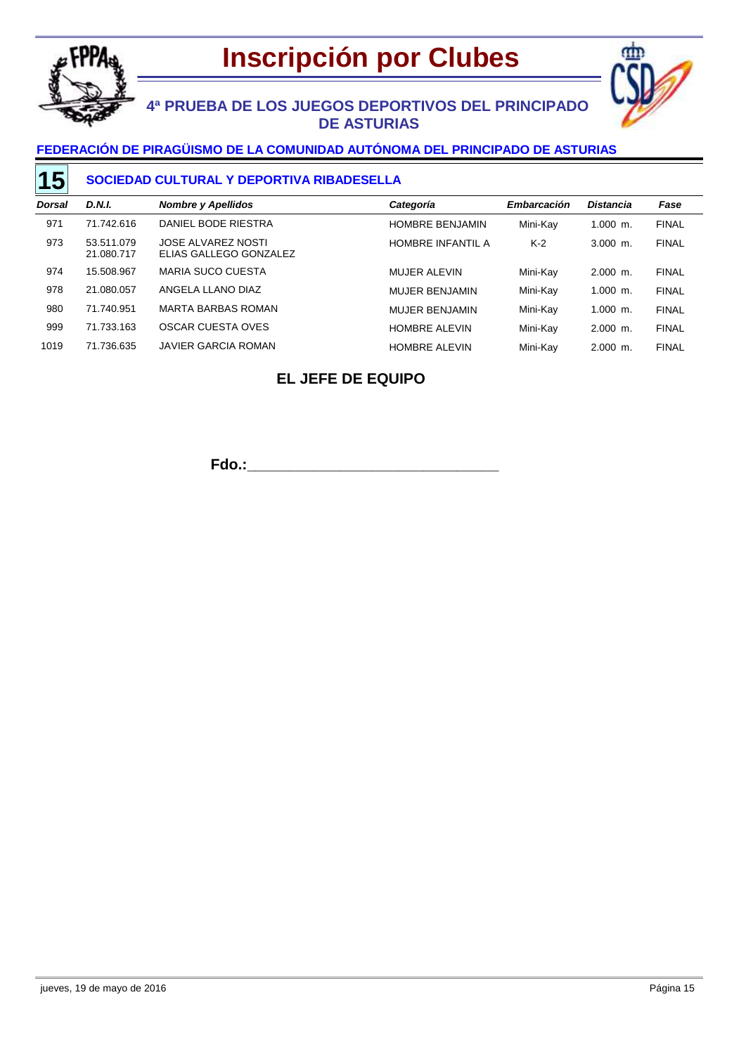



# **4ª PRUEBA DE LOS JUEGOS DEPORTIVOS DEL PRINCIPADO DE ASTURIAS**

### **FEDERACIÓN DE PIRAGÜISMO DE LA COMUNIDAD AUTÓNOMA DEL PRINCIPADO DE ASTURIAS**

#### **SOCIEDAD CULTURAL Y DEPORTIVA RIBADESELLA 15**

| <b>Dorsal</b> | D.N.I.                   | <b>Nombre y Apellidos</b>                           | Categoría                | Embarcación | <b>Distancia</b> | Fase         |
|---------------|--------------------------|-----------------------------------------------------|--------------------------|-------------|------------------|--------------|
| 971           | 71.742.616               | DANIEL BODE RIESTRA                                 | <b>HOMBRE BENJAMIN</b>   | Mini-Kay    | $1.000$ m.       | <b>FINAL</b> |
| 973           | 53.511.079<br>21.080.717 | <b>JOSE ALVAREZ NOSTI</b><br>ELIAS GALLEGO GONZALEZ | <b>HOMBRE INFANTIL A</b> | $K-2$       | $3.000$ m.       | <b>FINAL</b> |
| 974           | 15.508.967               | <b>MARIA SUCO CUESTA</b>                            | MUJER ALEVIN             | Mini-Kay    | $2.000$ m.       | <b>FINAL</b> |
| 978           | 21.080.057               | ANGELA LLANO DIAZ                                   | <b>MUJER BENJAMIN</b>    | Mini-Kay    | $1.000$ m.       | <b>FINAL</b> |
| 980           | 71.740.951               | <b>MARTA BARBAS ROMAN</b>                           | <b>MUJER BENJAMIN</b>    | Mini-Kay    | $1.000$ m.       | <b>FINAL</b> |
| 999           | 71.733.163               | OSCAR CUESTA OVES                                   | <b>HOMBRE ALEVIN</b>     | Mini-Kay    | $2.000$ m.       | <b>FINAL</b> |
| 1019          | 71.736.635               | JAVIER GARCIA ROMAN                                 | <b>HOMBRE ALEVIN</b>     | Mini-Kay    | $2.000$ m.       | <b>FINAL</b> |

## **EL JEFE DE EQUIPO**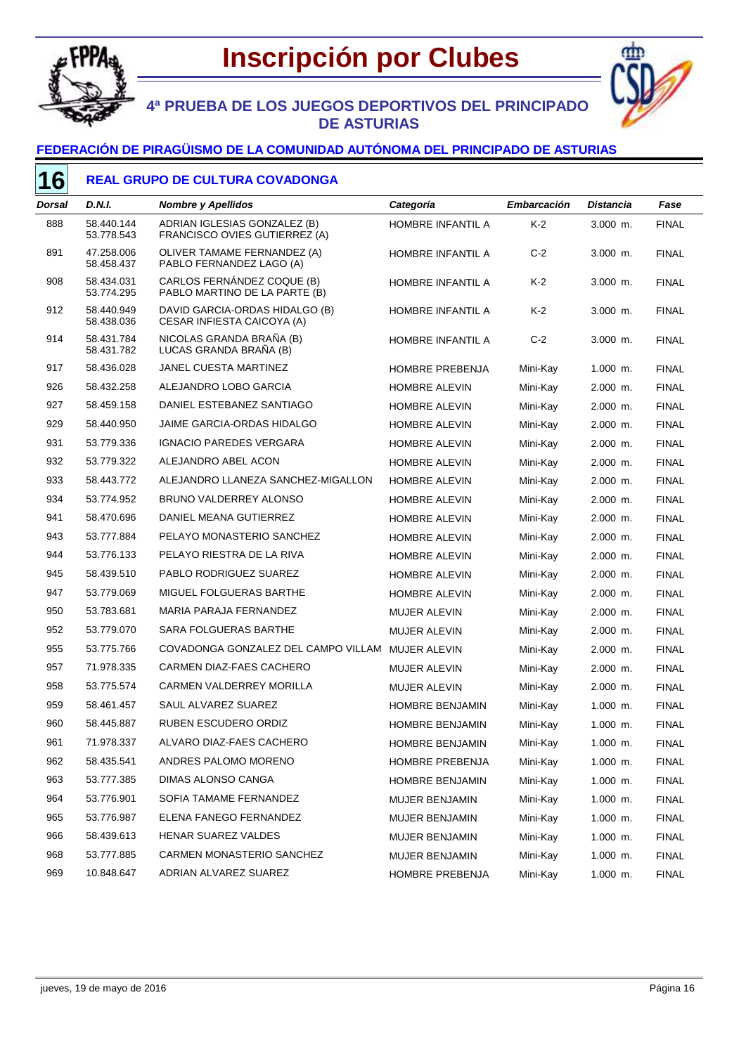

# **Inscripción por Clubes**



## **4ª PRUEBA DE LOS JUEGOS DEPORTIVOS DEL PRINCIPADO DE ASTURIAS**

#### **FEDERACIÓN DE PIRAGÜISMO DE LA COMUNIDAD AUTÓNOMA DEL PRINCIPADO DE ASTURIAS**

### **REAL GRUPO DE CULTURA COVADONGA**

| Dorsal | D.N.I.                   | <b>Nombre y Apellidos</b>                                     | Categoría              | Embarcación | <b>Distancia</b> | Fase         |
|--------|--------------------------|---------------------------------------------------------------|------------------------|-------------|------------------|--------------|
| 888    | 58.440.144<br>53.778.543 | ADRIAN IGLESIAS GONZALEZ (B)<br>FRANCISCO OVIES GUTIERREZ (A) | HOMBRE INFANTIL A      | $K-2$       | 3.000 m.         | <b>FINAL</b> |
| 891    | 47.258.006<br>58.458.437 | OLIVER TAMAME FERNANDEZ (A)<br>PABLO FERNANDEZ LAGO (A)       | HOMBRE INFANTIL A      | $C-2$       | $3.000$ m.       | <b>FINAL</b> |
| 908    | 58.434.031<br>53.774.295 | CARLOS FERNÁNDEZ COQUE (B)<br>PABLO MARTINO DE LA PARTE (B)   | HOMBRE INFANTIL A      | K-2         | $3.000$ m.       | <b>FINAL</b> |
| 912    | 58.440.949<br>58.438.036 | DAVID GARCIA-ORDAS HIDALGO (B)<br>CESAR INFIESTA CAICOYA (A)  | HOMBRE INFANTIL A      | K-2         | 3.000 m.         | <b>FINAL</b> |
| 914    | 58.431.784<br>58.431.782 | NICOLAS GRANDA BRAÑA (B)<br>LUCAS GRANDA BRAÑA (B)            | HOMBRE INFANTIL A      | $C-2$       | 3.000 m.         | <b>FINAL</b> |
| 917    | 58.436.028               | JANEL CUESTA MARTINEZ                                         | <b>HOMBRE PREBENJA</b> | Mini-Kay    | $1.000$ m.       | <b>FINAL</b> |
| 926    | 58.432.258               | ALEJANDRO LOBO GARCIA                                         | HOMBRE ALEVIN          | Mini-Kay    | $2.000$ m.       | <b>FINAL</b> |
| 927    | 58.459.158               | DANIEL ESTEBANEZ SANTIAGO                                     | HOMBRE ALEVIN          | Mini-Kay    | $2.000$ m.       | <b>FINAL</b> |
| 929    | 58.440.950               | <b>JAIME GARCIA-ORDAS HIDALGO</b>                             | <b>HOMBRE ALEVIN</b>   | Mini-Kay    | $2.000$ m.       | <b>FINAL</b> |
| 931    | 53.779.336               | <b>IGNACIO PAREDES VERGARA</b>                                | HOMBRE ALEVIN          | Mini-Kay    | 2.000 m.         | <b>FINAL</b> |
| 932    | 53.779.322               | ALEJANDRO ABEL ACON                                           | HOMBRE ALEVIN          | Mini-Kay    | $2.000$ m.       | <b>FINAL</b> |
| 933    | 58.443.772               | ALEJANDRO LLANEZA SANCHEZ-MIGALLON                            | <b>HOMBRE ALEVIN</b>   | Mini-Kay    | 2.000 m.         | <b>FINAL</b> |
| 934    | 53.774.952               | BRUNO VALDERREY ALONSO                                        | <b>HOMBRE ALEVIN</b>   | Mini-Kay    | 2.000 m.         | <b>FINAL</b> |
| 941    | 58.470.696               | DANIEL MEANA GUTIERREZ                                        | HOMBRE ALEVIN          | Mini-Kay    | 2.000 m.         | <b>FINAL</b> |
| 943    | 53.777.884               | PELAYO MONASTERIO SANCHEZ                                     | HOMBRE ALEVIN          | Mini-Kay    | $2.000$ m.       | <b>FINAL</b> |
| 944    | 53.776.133               | PELAYO RIESTRA DE LA RIVA                                     | HOMBRE ALEVIN          | Mini-Kay    | 2.000 m.         | <b>FINAL</b> |
| 945    | 58.439.510               | PABLO RODRIGUEZ SUAREZ                                        | <b>HOMBRE ALEVIN</b>   | Mini-Kay    | $2.000$ m.       | <b>FINAL</b> |
| 947    | 53.779.069               | MIGUEL FOLGUERAS BARTHE                                       | HOMBRE ALEVIN          | Mini-Kay    | $2.000$ m.       | <b>FINAL</b> |
| 950    | 53.783.681               | MARIA PARAJA FERNANDEZ                                        | <b>MUJER ALEVIN</b>    | Mini-Kay    | $2.000$ m.       | <b>FINAL</b> |
| 952    | 53.779.070               | SARA FOLGUERAS BARTHE                                         | <b>MUJER ALEVIN</b>    | Mini-Kay    | $2.000$ m.       | <b>FINAL</b> |
| 955    | 53.775.766               | COVADONGA GONZALEZ DEL CAMPO VILLAM                           | MUJER ALEVIN           | Mini-Kay    | $2.000$ m.       | <b>FINAL</b> |
| 957    | 71.978.335               | CARMEN DIAZ-FAES CACHERO                                      | <b>MUJER ALEVIN</b>    | Mini-Kay    | $2.000$ m.       | <b>FINAL</b> |
| 958    | 53.775.574               | <b>CARMEN VALDERREY MORILLA</b>                               | <b>MUJER ALEVIN</b>    | Mini-Kay    | $2.000$ m.       | <b>FINAL</b> |
| 959    | 58.461.457               | SAUL ALVAREZ SUAREZ                                           | HOMBRE BENJAMIN        | Mini-Kay    | $1.000$ m.       | <b>FINAL</b> |
| 960    | 58.445.887               | <b>RUBEN ESCUDERO ORDIZ</b>                                   | HOMBRE BENJAMIN        | Mini-Kay    | $1.000$ m.       | <b>FINAL</b> |
| 961    | 71.978.337               | ALVARO DIAZ-FAES CACHERO                                      | HOMBRE BENJAMIN        | Mini-Kay    | 1.000 m.         | <b>FINAL</b> |
| 962    | 58.435.541               | ANDRES PALOMO MORENO                                          | HOMBRE PREBENJA        | Mini-Kay    | 1.000 m.         | <b>FINAL</b> |
| 963    | 53.777.385               | DIMAS ALONSO CANGA                                            | HOMBRE BENJAMIN        | Mini-Kay    | 1.000 m.         | <b>FINAL</b> |
| 964    | 53.776.901               | SOFIA TAMAME FERNANDEZ                                        | <b>MUJER BENJAMIN</b>  | Mini-Kay    | $1.000$ m.       | <b>FINAL</b> |
| 965    | 53.776.987               | ELENA FANEGO FERNANDEZ                                        | MUJER BENJAMIN         | Mini-Kay    | $1.000$ m.       | <b>FINAL</b> |
| 966    | 58.439.613               | HENAR SUAREZ VALDES                                           | MUJER BENJAMIN         | Mini-Kay    | $1.000$ m.       | <b>FINAL</b> |
| 968    | 53.777.885               | CARMEN MONASTERIO SANCHEZ                                     | MUJER BENJAMIN         | Mini-Kay    | $1.000$ m.       | <b>FINAL</b> |
| 969    | 10.848.647               | ADRIAN ALVAREZ SUAREZ                                         | HOMBRE PREBENJA        | Mini-Kay    | $1.000$ m.       | <b>FINAL</b> |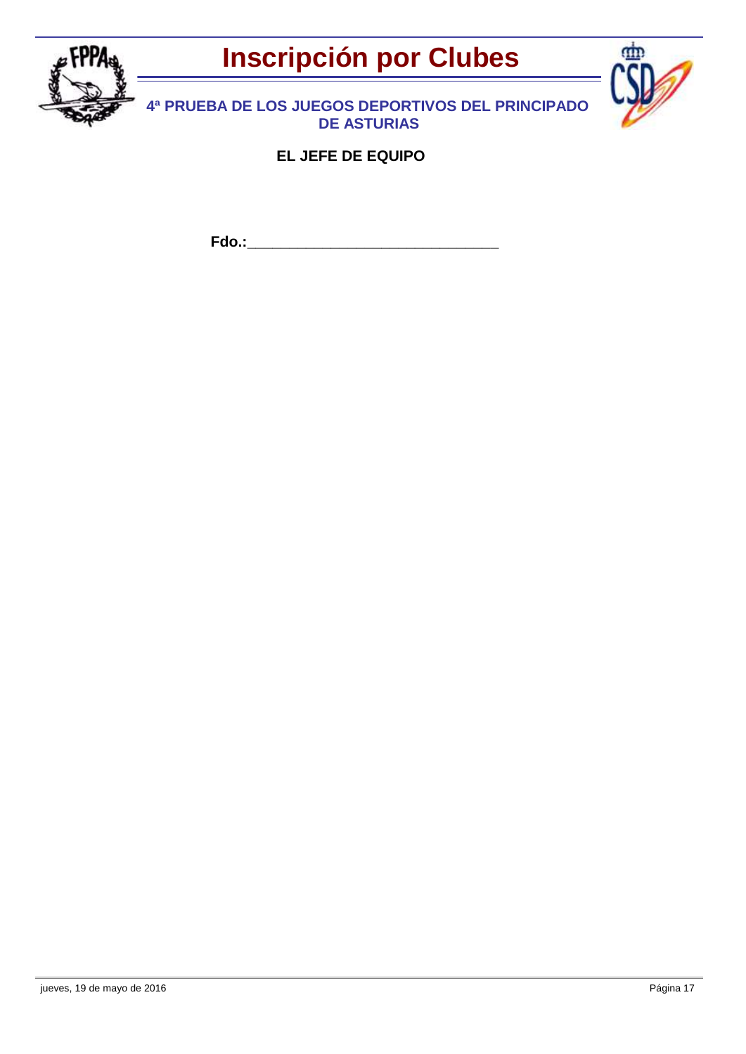



**4ª PRUEBA DE LOS JUEGOS DEPORTIVOS DEL PRINCIPADO DE ASTURIAS**

**EL JEFE DE EQUIPO**